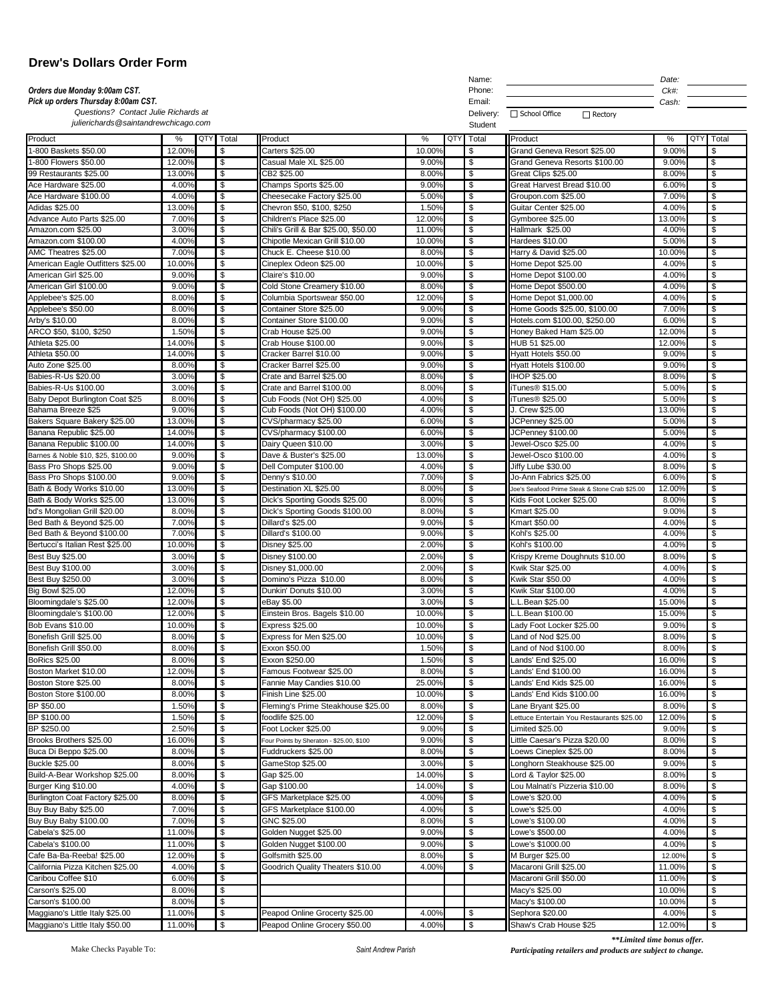| <b>Drew's Dollars Order Form</b>                                     |                 |                                                   |                                                          |                 |                                                      |                                                       |                      |                                 |  |
|----------------------------------------------------------------------|-----------------|---------------------------------------------------|----------------------------------------------------------|-----------------|------------------------------------------------------|-------------------------------------------------------|----------------------|---------------------------------|--|
| Orders due Monday 9:00am CST.<br>Pick up orders Thursday 8:00am CST. |                 |                                                   |                                                          |                 |                                                      |                                                       | Date:                |                                 |  |
|                                                                      |                 |                                                   |                                                          |                 |                                                      | Ck#:<br>Cash:                                         |                      |                                 |  |
| Questions? Contact Julie Richards at                                 |                 |                                                   |                                                          |                 | Email:<br>Delivery:                                  | □ School Office<br>$\Box$ Rectory                     |                      |                                 |  |
| julierichards@saintandrewchicago.com                                 |                 |                                                   |                                                          |                 | Student                                              |                                                       |                      |                                 |  |
| Product                                                              | %               | QTY<br>Total                                      | Product                                                  | QTY<br>%        | Total                                                | Product                                               | QTY<br>$\frac{9}{6}$ | Total                           |  |
| 1-800 Baskets \$50.00                                                | 12.00%          | \$                                                | Carters \$25.00                                          | 10.00%          | $\$\$                                                | Grand Geneva Resort \$25.00                           | 9.00%                | \$                              |  |
| -800 Flowers \$50.00                                                 | 12.00%          | \$                                                | Casual Male XL \$25.00                                   | 9.00%           | \$                                                   | Grand Geneva Resorts \$100.00                         | 9.00%                | $\boldsymbol{\mathsf{S}}$       |  |
| 99 Restaurants \$25.00                                               | 13.00%          | $\boldsymbol{\mathsf{S}}$                         | CB2 \$25.00                                              | 8.00%           | $\sqrt[6]{3}$                                        | Great Clips \$25.00                                   | 8.00%                | \$                              |  |
| Ace Hardware \$25.00                                                 | 4.00%           | \$                                                | Champs Sports \$25.00                                    | 9.00%           | \$                                                   | Great Harvest Bread \$10.00                           | 6.00%                | \$                              |  |
| Ace Hardware \$100.00<br><b>Adidas \$25.00</b>                       | 4.00%<br>13.00% | $\overline{\boldsymbol{\theta}}$<br>\$            | Cheesecake Factory \$25.00<br>Chevron \$50, \$100, \$250 | 5.00%<br>1.50%  | \$<br>\$                                             | Groupon.com \$25.00<br>Guitar Center \$25.00          | 7.00%<br>4.00%       | \$<br>\$                        |  |
| Advance Auto Parts \$25.00                                           | 7.00%           | $\boldsymbol{\mathsf{S}}$                         | Children's Place \$25.00                                 | 12.00%          | $\$\$                                                | Gymboree \$25.00                                      | 13.00%               | \$                              |  |
| Amazon.com \$25.00                                                   | 3.00%           | \$                                                | Chili's Grill & Bar \$25.00, \$50.00                     | 11.00%          | $\sqrt[6]{\frac{1}{2}}$                              | Hallmark \$25.00                                      | 4.00%                | $\sqrt[6]{\frac{1}{2}}$         |  |
| Amazon.com \$100.00                                                  | 4.00%           | $\sqrt[6]{\frac{1}{2}}$                           | Chipotle Mexican Grill \$10.00                           | 10.00%          | $\sqrt[6]{3}$                                        | Hardees \$10.00                                       | 5.00%                | \$                              |  |
| AMC Theatres \$25.00                                                 | 7.00%           | \$                                                | Chuck E. Cheese \$10.00                                  | 8.00%           | \$                                                   | Harry & David \$25.00                                 | 10.00%               | \$                              |  |
| American Eagle Outfitters \$25.00                                    | 10.00%          | \$                                                | Cineplex Odeon \$25.00                                   | 10.00%          | $\sqrt[6]{3}$                                        | Home Depot \$25.00                                    | 4.00%                | $\boldsymbol{\mathsf{S}}$       |  |
| American Girl \$25.00<br>American Girl \$100.00                      | 9.00%<br>9.00%  | \$<br>$\sqrt[6]{2}$                               | Claire's \$10.00<br>Cold Stone Creamery \$10.00          | 9.00%<br>8.00%  | \$<br>$\sqrt[6]{3}$                                  | Home Depot \$100.00<br>Home Depot \$500.00            | 4.00%<br>4.00%       | \$<br>$\sqrt[6]{\frac{1}{2}}$   |  |
| Applebee's \$25.00                                                   | 8.00%           | \$                                                | Columbia Sportswear \$50.00                              | 12.00%          | $\sqrt[6]{3}$                                        | Home Depot \$1,000.00                                 | 4.00%                | $\sqrt[6]{\frac{1}{2}}$         |  |
| Applebee's \$50.00                                                   | 8.00%           | $\boldsymbol{\mathsf{S}}$                         | Container Store \$25.00                                  | 9.00%           | $\$\$                                                | Home Goods \$25.00, \$100.00                          | 7.00%                | \$                              |  |
| Arby's \$10.00                                                       | 8.00%           | \$                                                | Container Store \$100.00                                 | 9.00%           | \$                                                   | Hotels.com \$100.00, \$250.00                         | 6.00%                | \$                              |  |
| ARCO \$50, \$100, \$250                                              | 1.50%           | \$                                                | Crab House \$25.00                                       | 9.00%           | \$                                                   | Honey Baked Ham \$25.00                               | 12.00%               | \$                              |  |
| Athleta \$25.00                                                      | 14.00%          | \$                                                | Crab House \$100.00                                      | 9.00%           | \$                                                   | HUB 51 \$25.00                                        | 12.00%               | \$                              |  |
| Athleta \$50.00                                                      | 14.00%          | \$                                                | Cracker Barrel \$10.00                                   | 9.00%           | $\sqrt[6]{3}$                                        | Hyatt Hotels \$50.00                                  | 9.00%                | \$                              |  |
| Auto Zone \$25.00<br>Babies-R-Us \$20.00                             | 8.00%<br>3.00%  | \$<br>$\boldsymbol{\mathsf{S}}$                   | Cracker Barrel \$25.00<br>Crate and Barrel \$25.00       | 9.00%<br>8.00%  | $\sqrt[6]{\frac{1}{2}}$<br>$\boldsymbol{\mathsf{S}}$ | Hyatt Hotels \$100.00<br>IHOP \$25.00                 | 9.00%<br>8.00%       | $\sqrt[6]{\frac{1}{2}}$<br>\$   |  |
| Babies-R-Us \$100.00                                                 | 3.00%           | $\boldsymbol{\mathsf{S}}$                         | Crate and Barrel \$100.00                                | 8.00%           | $\sqrt[6]{\frac{1}{2}}$                              | iTunes <sup>®</sup> \$15.00                           | 5.00%                | $\sqrt[6]{\frac{1}{2}}$         |  |
| Baby Depot Burlington Coat \$25                                      | 8.00%           | $\boldsymbol{\mathsf{S}}$                         | Cub Foods (Not OH) \$25.00                               | 4.00%           | $\$\$                                                | iTunes <sup>®</sup> \$25.00                           | 5.00%                | \$                              |  |
| Bahama Breeze \$25                                                   | 9.00%           | $\overline{\boldsymbol{\theta}}$                  | Cub Foods (Not OH) \$100.00                              | 4.00%           | $\overline{\boldsymbol{\theta}}$                     | J. Crew \$25.00                                       | 13.00%               | \$                              |  |
| Bakers Square Bakery \$25.00                                         | 13.00%          | \$                                                | CVS/pharmacy \$25.00                                     | 6.00%           | \$                                                   | JCPenney \$25.00                                      | 5.00%                | \$                              |  |
| Banana Republic \$25.00                                              | 14.00%          | $\boldsymbol{\mathsf{S}}$                         | CVS/pharmacy \$100.00                                    | 6.00%           | $\boldsymbol{\mathsf{S}}$                            | <b>JCPenney \$100.00</b>                              | 5.00%                | \$                              |  |
| Banana Republic \$100.00                                             | 14.00%          | \$                                                | Dairy Queen \$10.00                                      | 3.00%           | \$                                                   | Jewel-Osco \$25.00                                    | 4.00%                | \$                              |  |
| Barnes & Noble \$10, \$25, \$100.00<br>Bass Pro Shops \$25.00        | 9.00%<br>9.00%  | - \$<br>\$                                        | Dave & Buster's \$25.00<br>Dell Computer \$100.00        | 13.00%<br>4.00% | - \$<br>\$                                           | Jewel-Osco \$100.00<br>Jiffy Lube \$30.00             | 4.00%<br>8.00%       | - \$<br>\$                      |  |
| Bass Pro Shops \$100.00                                              | 9.00%           | \$                                                | Denny's \$10.00                                          | 7.00%           | \$                                                   | Jo-Ann Fabrics \$25.00                                | 6.00%                | \$                              |  |
| Bath & Body Works \$10.00                                            | 13.00%          | $\sqrt[6]{3}$                                     | Destination XL \$25.00                                   | 8.00%           | \$                                                   | Joe's Seafood Prime Steak & Stone Crab \$25.00        | 12.00%               | \$                              |  |
| Bath & Body Works \$25.00                                            | 13.00%          | \$                                                | Dick's Sporting Goods \$25.00                            | 8.00%           | $\sqrt[6]{3}$                                        | Kids Foot Locker \$25.00                              | 8.00%                | \$                              |  |
| bd's Mongolian Grill \$20.00                                         | 8.00%           | \$                                                | Dick's Sporting Goods \$100.00                           | 8.00%           | $\sqrt[6]{\frac{1}{2}}$                              | Kmart \$25.00                                         | 9.00%                | \$                              |  |
| Bed Bath & Beyond \$25.00                                            | 7.00%           | $\sqrt[6]{\frac{1}{2}}$                           | Dillard's \$25.00                                        | 9.00%           | $\sqrt[6]{3}$                                        | Kmart \$50.00                                         | 4.00%                | \$                              |  |
| Bed Bath & Beyond \$100.00<br>Bertucci's Italian Rest \$25.00        | 7.00%<br>10.00% | \$<br>\$                                          | Dillard's \$100.00<br><b>Disney \$25.00</b>              | 9.00%<br>2.00%  | $\sqrt[6]{3}$<br>\$                                  | Kohl's \$25.00<br>Kohl's \$100.00                     | 4.00%<br>4.00%       | \$<br>\$                        |  |
| Best Buy \$25.00                                                     | 3.00%           | \$                                                | Disney \$100.00                                          | 2.00%           | \$                                                   | Krispy Kreme Doughnuts \$10.00                        | 8.00%                | \$                              |  |
| Best Buy \$100.00                                                    | 3.00%           | $\sqrt[6]{3}$                                     | Disney \$1,000.00                                        | 2.00%           | $\sqrt[6]{3}$                                        | Kwik Star \$25.00                                     | 4.00%                | $\sqrt[6]{\frac{1}{2}}$         |  |
| Best Buy \$250.00                                                    | 3.00%           | \$                                                | Domino's Pizza \$10.00                                   | 8.00%           | $\sqrt[6]{3}$                                        | Kwik Star \$50.00                                     | 4.00%                | \$                              |  |
| <b>Big Bowl \$25.00</b>                                              | 12.00%          | \$                                                | Dunkin' Donuts \$10.00                                   | 3.00%           | $\sqrt[6]{\frac{1}{2}}$                              | Kwik Star \$100.00                                    | 4.00%                | \$                              |  |
| Bloomingdale's \$25.00                                               | 12.00%          | \$                                                | eBay \$5.00                                              | 3.00%           | $\sqrt[6]{3}$                                        | L.L.Bean \$25.00                                      | 15.00%               | \$                              |  |
| Bloomingdale's \$100.00                                              | 12.00%          | \$                                                | Einstein Bros. Bagels \$10.00                            | 10.00%          | $\sqrt[6]{3}$                                        | L.L.Bean \$100.00                                     | 15.00%               | \$                              |  |
| Bob Evans \$10.00                                                    | 10.00%          | \$                                                | <b>Express \$25.00</b>                                   | 10.00%          | $\sqrt[6]{3}$                                        | Lady Foot Locker \$25.00                              | 9.00%                | $\sqrt[6]{\frac{1}{2}}$         |  |
| Bonefish Grill \$25.00<br>Bonefish Grill \$50.00                     | 8.00%<br>8.00%  | $\boldsymbol{\mathsf{S}}$<br>\$                   | Express for Men \$25.00<br>Exxon \$50.00                 | 10.00%<br>1.50% | $\sqrt[6]{3}$<br>$\sqrt[6]{3}$                       | Land of Nod \$25.00<br>Land of Nod \$100.00           | 8.00%<br>8.00%       | $\boldsymbol{\mathsf{S}}$<br>\$ |  |
| <b>BoRics \$25.00</b>                                                | 8.00%           | \$                                                | Exxon \$250.00                                           | 1.50%           | $\sqrt[6]{\frac{1}{2}}$                              | Lands' End \$25.00                                    | 16.00%               | $\sqrt[6]{\frac{1}{2}}$         |  |
| Boston Market \$10.00                                                | 12.00%          | $\boldsymbol{\mathsf{S}}$                         | Famous Footwear \$25.00                                  | 8.00%           | $\sqrt[6]{\frac{1}{2}}$                              | Lands' End \$100.00                                   | 16.00%               | $\sqrt[6]{\frac{1}{2}}$         |  |
| Boston Store \$25.00                                                 | 8.00%           | \$                                                | Fannie May Candies \$10.00                               | 25.00%          | $\sqrt[6]{3}$                                        | Lands' End Kids \$25.00                               | 16.00%               | \$                              |  |
| Boston Store \$100.00                                                | 8.00%           | \$                                                | Finish Line \$25.00                                      | 10.00%          | $\sqrt[6]{3}$                                        | Lands' End Kids \$100.00                              | 16.00%               | \$                              |  |
| BP \$50.00                                                           | 1.50%           | $\boldsymbol{\mathsf{S}}$                         | Fleming's Prime Steakhouse \$25.00                       | 8.00%           | $\sqrt[6]{3}$                                        | Lane Bryant \$25.00                                   | 8.00%                | \$                              |  |
| BP \$100.00                                                          | 1.50%           | \$                                                | foodlife \$25.00                                         | 12.00%          | $\sqrt[6]{3}$                                        | Lettuce Entertain You Restaurants \$25.00             | 12.00%               | \$                              |  |
| BP \$250.00                                                          | 2.50%           | \$                                                | Foot Locker \$25.00                                      | 9.00%           | $\sqrt[6]{3}$                                        | Limited \$25.00                                       | 9.00%                | \$                              |  |
| Brooks Brothers \$25.00                                              | 16.00%          | $\sqrt[6]{\frac{1}{2}}$                           | Four Points by Sheraton - \$25.00, \$100                 | 9.00%           | $\boldsymbol{\mathsf{S}}$                            | Little Caesar's Pizza \$20.00                         | 8.00%                | $\sqrt[6]{\frac{1}{2}}$         |  |
| Buca Di Beppo \$25.00<br><b>Buckle \$25.00</b>                       | 8.00%<br>8.00%  | \$<br>\$                                          | Fuddruckers \$25.00<br>GameStop \$25.00                  | 8.00%<br>3.00%  | \$<br>$\sqrt[6]{3}$                                  | Loews Cineplex \$25.00<br>Longhorn Steakhouse \$25.00 | 8.00%<br>9.00%       | \$<br>$\sqrt[6]{\frac{1}{2}}$   |  |
| Build-A-Bear Workshop \$25.00                                        | 8.00%           | $\$\$                                             | Gap \$25.00                                              | 14.00%          | $\sqrt[6]{3}$                                        | Lord & Taylor \$25.00                                 | 8.00%                | $\sqrt[6]{\frac{1}{2}}$         |  |
| Burger King \$10.00                                                  | 4.00%           | \$                                                | Gap \$100.00                                             | 14.00%          | $\sqrt[6]{\frac{1}{2}}$                              | Lou Malnati's Pizzeria \$10.00                        | 8.00%                | \$                              |  |
| Burlington Coat Factory \$25.00                                      | 8.00%           | \$                                                | GFS Marketplace \$25.00                                  | 4.00%           | $\sqrt[6]{\frac{1}{2}}$                              | Lowe's \$20.00                                        | 4.00%                | $\sqrt[6]{\frac{1}{2}}$         |  |
| Buy Buy Baby \$25.00                                                 | 7.00%           | $\boldsymbol{\mathsf{S}}$                         | GFS Marketplace \$100.00                                 | 4.00%           | $\sqrt[6]{\frac{1}{2}}$                              | Lowe's \$25.00                                        | 4.00%                | $\sqrt[6]{\frac{1}{2}}$         |  |
| Buy Buy Baby \$100.00                                                | 7.00%           | \$                                                | GNC \$25.00                                              | 8.00%           | \$                                                   | Lowe's \$100.00                                       | 4.00%                | \$                              |  |
| Cabela's \$25.00                                                     | 11.00%          | \$                                                | Golden Nugget \$25.00                                    | 9.00%           | $\sqrt[6]{3}$                                        | Lowe's \$500.00                                       | 4.00%                | $\sqrt[6]{\frac{1}{2}}$         |  |
| Cabela's \$100.00                                                    | 11.00%          | $\boldsymbol{\mathsf{S}}$                         | Golden Nugget \$100.00                                   | 9.00%           | $\sqrt[6]{3}$                                        | Lowe's \$1000.00                                      | 4.00%                | \$                              |  |
| Cafe Ba-Ba-Reeba! \$25.00                                            | 12.00%          | $\, \, \raisebox{-1.5pt}{\text{\circle*{1.5}}}\,$ | Golfsmith \$25.00                                        | 8.00%           | \$                                                   | M Burger \$25.00                                      | 12.00%               | \$                              |  |
| California Pizza Kitchen \$25.00                                     | 4.00%           | $\boldsymbol{\mathsf{S}}$                         | Goodrich Quality Theaters \$10.00                        | 4.00%           | $\overline{\mathbf{s}}$                              | Macaroni Grill \$25.00                                | 11.00%               | $\overline{\mathbf{s}}$         |  |
| Caribou Coffee \$10<br>Carson's \$25.00                              | 6.00%<br>8.00%  | \$<br>$\boldsymbol{\mathsf{\$}}$                  |                                                          |                 |                                                      | Macaroni Grill \$50.00<br>Macy's \$25.00              | 11.00%<br>10.00%     | $\boldsymbol{\mathsf{S}}$<br>\$ |  |
| Carson's \$100.00                                                    | 8.00%           | $\sqrt[6]{2}$                                     |                                                          |                 |                                                      | Macy's \$100.00                                       | 10.00%               | $\boldsymbol{\mathsf{S}}$       |  |
| Maggiano's Little Italy \$25.00                                      | 11.00%          | $\$\$                                             | Peapod Online Grocerty \$25.00                           | 4.00%           | \$                                                   | Sephora \$20.00                                       | 4.00%                | $\boldsymbol{\mathsf{S}}$       |  |
| Maggiano's Little Italy \$50.00                                      | 11.00%          | $\sqrt[6]{2}$                                     | Peapod Online Grocery \$50.00                            | 4.00%           | $\sqrt[6]{2}$                                        | Shaw's Crab House \$25                                | 12.00%               | $\boldsymbol{\mathsf{S}}$       |  |

Make Checks Payable To: *Saint Andrew Parish*

*\*\*Limited time bonus offer.* 

*Participating retailers and products are subject to change.*